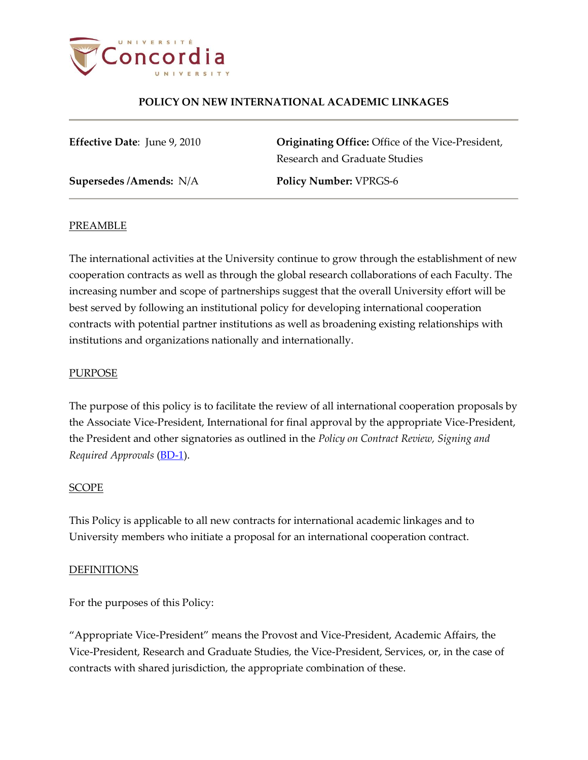

**Effective Date**: June 9, 2010 **Originating Office:** Office of the Vice-President, Research and Graduate Studies

**Supersedes /Amends:** N/A **Policy Number:** VPRGS-6

#### PREAMBLE

The international activities at the University continue to grow through the establishment of new cooperation contracts as well as through the global research collaborations of each Faculty. The increasing number and scope of partnerships suggest that the overall University effort will be best served by following an institutional policy for developing international cooperation contracts with potential partner institutions as well as broadening existing relationships with institutions and organizations nationally and internationally.

### PURPOSE

The purpose of this policy is to facilitate the review of all international cooperation proposals by the Associate Vice-President, International for final approval by the appropriate Vice-President, the President and other signatories as outlined in the *Policy on Contract Review, Signing and Required Approvals* [\(BD-1\)](http://www.concordia.ca/content/dam/common/docs/policies/official-policies/BD-1.pdf).

#### SCOPE

This Policy is applicable to all new contracts for international academic linkages and to University members who initiate a proposal for an international cooperation contract.

#### **DEFINITIONS**

For the purposes of this Policy:

"Appropriate Vice-President" means the Provost and Vice-President, Academic Affairs, the Vice-President, Research and Graduate Studies, the Vice-President, Services, or, in the case of contracts with shared jurisdiction, the appropriate combination of these.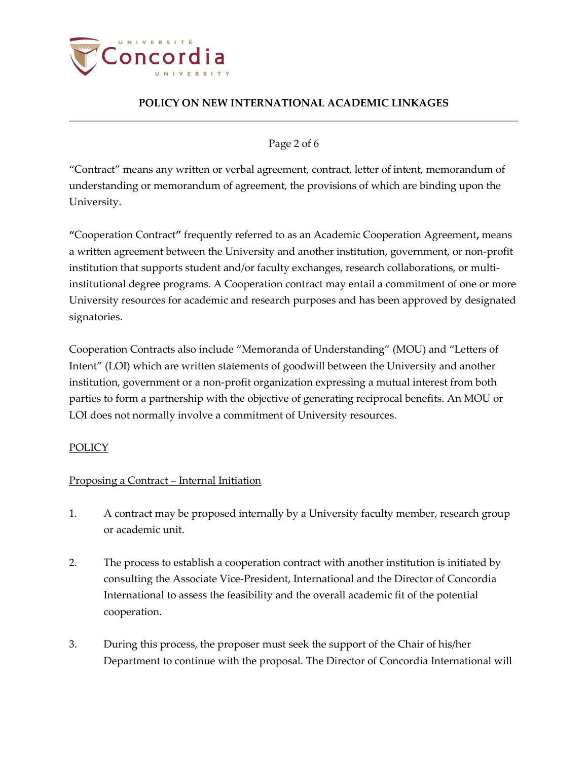

### Page 2 of 6

"Contract" means any written or verbal agreement, contract, letter of intent, memorandum of understanding or memorandum of agreement, the provisions of which are binding upon the University.

**"**Cooperation Contract**"** frequently referred to as an Academic Cooperation Agreement**,** means a written agreement between the University and another institution, government, or non-profit institution that supports student and/or faculty exchanges, research collaborations, or multiinstitutional degree programs. A Cooperation contract may entail a commitment of one or more University resources for academic and research purposes and has been approved by designated signatories.

Cooperation Contracts also include "Memoranda of Understanding" (MOU) and "Letters of Intent" (LOI) which are written statements of goodwill between the University and another institution, government or a non-profit organization expressing a mutual interest from both parties to form a partnership with the objective of generating reciprocal benefits. An MOU or LOI does not normally involve a commitment of University resources.

### **POLICY**

### Proposing a Contract – Internal Initiation

- 1. A contract may be proposed internally by a University faculty member, research group or academic unit.
- 2. The process to establish a cooperation contract with another institution is initiated by consulting the Associate Vice-President, International and the Director of Concordia International to assess the feasibility and the overall academic fit of the potential cooperation.
- 3. During this process, the proposer must seek the support of the Chair of his/her Department to continue with the proposal. The Director of Concordia International will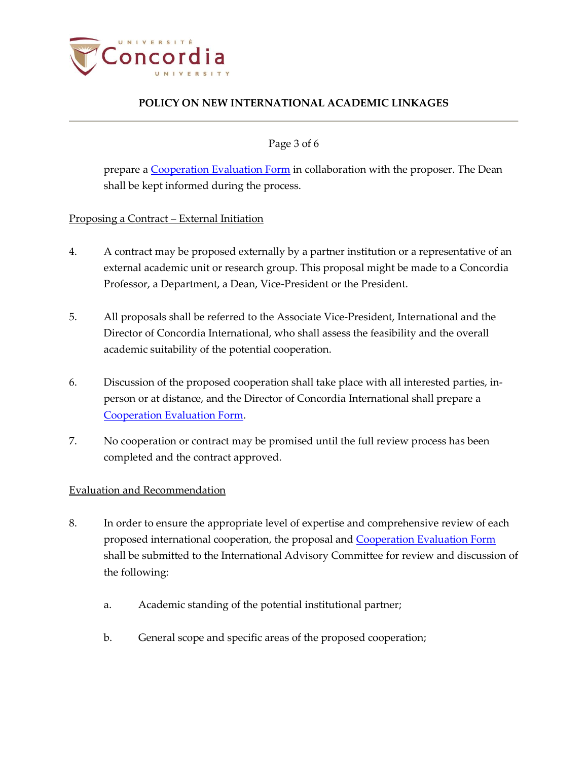

Page 3 of 6

prepare a [Cooperation Evaluation Form](http://www.concordia.ca/content/dam/common/docs/policies/official-policies/VPRGS-6-Evaluation_Form.pdf) in collaboration with the proposer. The Dean shall be kept informed during the process.

Proposing a Contract – External Initiation

- 4. A contract may be proposed externally by a partner institution or a representative of an external academic unit or research group. This proposal might be made to a Concordia Professor, a Department, a Dean, Vice-President or the President.
- 5. All proposals shall be referred to the Associate Vice-President, International and the Director of Concordia International, who shall assess the feasibility and the overall academic suitability of the potential cooperation.
- 6. Discussion of the proposed cooperation shall take place with all interested parties, inperson or at distance, and the Director of Concordia International shall prepare a [Cooperation Evaluation Form.](http://www.concordia.ca/content/dam/common/docs/policies/official-policies/VPRGS-6-Evaluation_Form.pdf)
- 7. No cooperation or contract may be promised until the full review process has been completed and the contract approved.

### Evaluation and Recommendation

- 8. In order to ensure the appropriate level of expertise and comprehensive review of each proposed international cooperation, the proposal an[d Cooperation Evaluation Form](http://www.concordia.ca/content/dam/common/docs/policies/official-policies/VPRGS-6-Evaluation_Form.pdf) shall be submitted to the International Advisory Committee for review and discussion of the following:
	- a. Academic standing of the potential institutional partner;
	- b. General scope and specific areas of the proposed cooperation;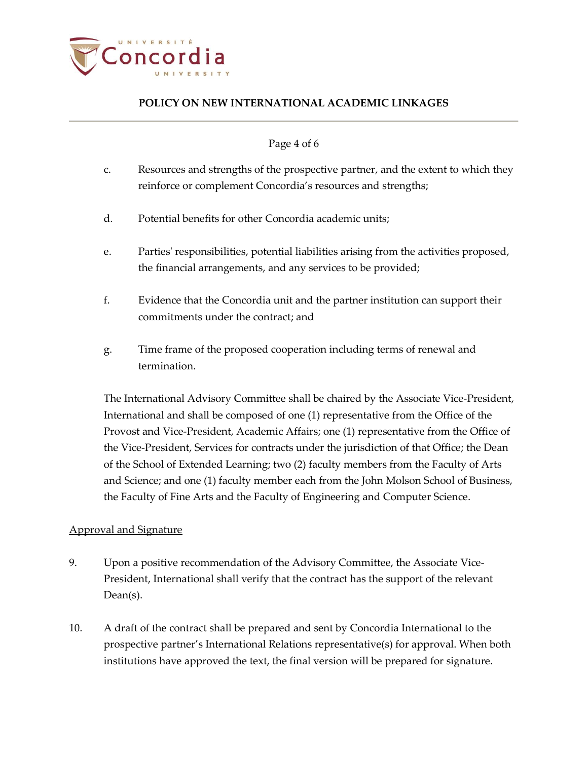

### Page 4 of 6

- c. Resources and strengths of the prospective partner, and the extent to which they reinforce or complement Concordia's resources and strengths;
- d. Potential benefits for other Concordia academic units;
- e. Parties' responsibilities, potential liabilities arising from the activities proposed, the financial arrangements, and any services to be provided;
- f. Evidence that the Concordia unit and the partner institution can support their commitments under the contract; and
- g. Time frame of the proposed cooperation including terms of renewal and termination.

The International Advisory Committee shall be chaired by the Associate Vice-President, International and shall be composed of one (1) representative from the Office of the Provost and Vice-President, Academic Affairs; one (1) representative from the Office of the Vice-President, Services for contracts under the jurisdiction of that Office; the Dean of the School of Extended Learning; two (2) faculty members from the Faculty of Arts and Science; and one (1) faculty member each from the John Molson School of Business, the Faculty of Fine Arts and the Faculty of Engineering and Computer Science.

### Approval and Signature

- 9. Upon a positive recommendation of the Advisory Committee, the Associate Vice-President, International shall verify that the contract has the support of the relevant Dean(s).
- 10. A draft of the contract shall be prepared and sent by Concordia International to the prospective partner's International Relations representative(s) for approval. When both institutions have approved the text, the final version will be prepared for signature.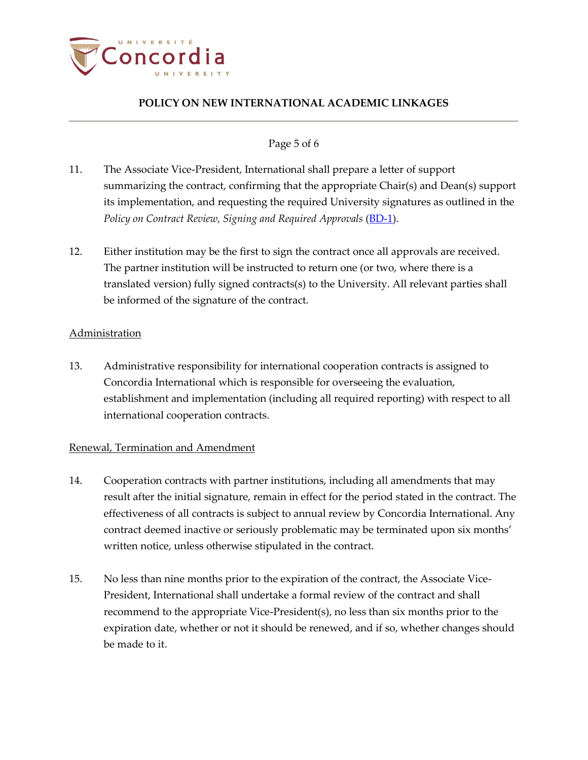

### Page 5 of 6

- 11. The Associate Vice-President, International shall prepare a letter of support summarizing the contract, confirming that the appropriate Chair(s) and Dean(s) support its implementation, and requesting the required University signatures as outlined in the *Policy on Contract Review, Signing and Required Approvals* (*BD-1*).
- 12. Either institution may be the first to sign the contract once all approvals are received. The partner institution will be instructed to return one (or two, where there is a translated version) fully signed contracts(s) to the University. All relevant parties shall be informed of the signature of the contract.

#### Administration

13. Administrative responsibility for international cooperation contracts is assigned to Concordia International which is responsible for overseeing the evaluation, establishment and implementation (including all required reporting) with respect to all international cooperation contracts.

### Renewal, Termination and Amendment

- 14. Cooperation contracts with partner institutions, including all amendments that may result after the initial signature, remain in effect for the period stated in the contract. The effectiveness of all contracts is subject to annual review by Concordia International. Any contract deemed inactive or seriously problematic may be terminated upon six months' written notice, unless otherwise stipulated in the contract.
- 15. No less than nine months prior to the expiration of the contract, the Associate Vice-President, International shall undertake a formal review of the contract and shall recommend to the appropriate Vice-President(s), no less than six months prior to the expiration date, whether or not it should be renewed, and if so, whether changes should be made to it.